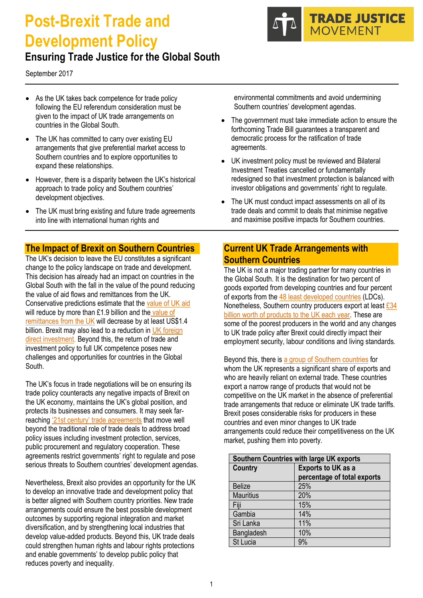# **Post-Brexit Trade and Development Policy**



# **Ensuring Trade Justice for the Global South**

September 2017

- As the UK takes back competence for trade policy following the EU referendum consideration must be given to the impact of UK trade arrangements on countries in the Global South.
- The UK has committed to carry over existing EU arrangements that give preferential market access to Southern countries and to explore opportunities to expand these relationships.
- However, there is a disparity between the UK's historical approach to trade policy and Southern countries' development objectives.
- The UK must bring existing and future trade agreements into line with international human rights and

# **The Impact of Brexit on Southern Countries**

The UK's decision to leave the EU constitutes a significant change to the policy landscape on trade and development. This decision has already had an impact on countries in the Global South with the fall in the value of the pound reducing the value of aid flows and remittances from the UK. Conservative predictions estimate that th[e value of UK aid](https://www.odi.org/sites/odi.org.uk/files/resource-documents/10685.pdf) will reduce by more than £1.9 billion and the value of [remittances from the UK](https://www.odi.org/sites/odi.org.uk/files/resource-documents/10685.pdf) will decrease by at least US\$1.4 billion. Brexit may also lead to a reduction in UK foreign [direct investment.](https://www.odi.org/sites/odi.org.uk/files/resource-documents/10685.pdf) Beyond this, the return of trade and investment policy to full UK competence poses new challenges and opportunities for countries in the Global South.

The UK's focus in trade negotiations will be on ensuring its trade policy counteracts any negative impacts of Brexit on the UK economy, maintains the UK's global position, and protects its businesses and consumers. It may seek farreaching '21st century' [trade agreements](http://www.rosalux.eu/fileadmin/user_upload/Publications/2017/1_21st_century_FTAs-web.pdf) that move well beyond the traditional role of trade deals to address broad policy issues including investment protection, services, public procurement and regulatory cooperation. These agreements restrict governments' right to regulate and pose serious threats to Southern countries' development agendas.

Nevertheless, Brexit also provides an opportunity for the UK to develop an innovative trade and development policy that is better aligned with Southern country priorities. New trade arrangements could ensure the best possible development outcomes by supporting regional integration and market diversification, and by strengthening local industries that develop value-added products. Beyond this, UK trade deals could strengthen human rights and labour rights protections and enable governments' to develop public policy that reduces poverty and inequality.

environmental commitments and avoid undermining Southern countries' development agendas.

- The government must take immediate action to ensure the forthcoming Trade Bill guarantees a transparent and democratic process for the ratification of trade agreements.
- UK investment policy must be reviewed and Bilateral Investment Treaties cancelled or fundamentally redesigned so that investment protection is balanced with investor obligations and governments' right to regulate.
- The UK must conduct impact assessments on all of its trade deals and commit to deals that minimise negative and maximise positive impacts for Southern countries.

# **Current UK Trade Arrangements with Southern Countries**

The UK is not a major trading partner for many countries in the Global South. It is the destination for two percent of goods exported from developing countries and four percent of exports from the [48 least developed countries](https://www.ictsd.org/opinion/brexit-opportunity-or-peril-for-trade-with-small-and-poor-developing-economies) (LDCs). Nonetheless, Southern country producers export at leas[t £34](http://www.traidcraft.co.uk/media.ashx/fairtrade-foundationtraidcraftbrexit-lets-change-trade-for-good.pdf)  [billion worth of products to the UK each year.](http://www.traidcraft.co.uk/media.ashx/fairtrade-foundationtraidcraftbrexit-lets-change-trade-for-good.pdf) These are some of the poorest producers in the world and any changes to UK trade policy after Brexit could directly impact their employment security, labour conditions and living standards.

Beyond this, there i[s a group of Southern countries](https://www.ictsd.org/opinion/brexit-opportunity-or-peril-for-trade-with-small-and-poor-developing-economies) for whom the UK represents a significant share of exports and who are heavily reliant on external trade. These countries export a narrow range of products that would not be competitive on the UK market in the absence of preferential trade arrangements that reduce or eliminate UK trade tariffs. Brexit poses considerable risks for producers in these countries and even minor changes to UK trade arrangements could reduce their competitiveness on the UK market, pushing them into poverty.

| Southern Countries with large UK exports |                             |
|------------------------------------------|-----------------------------|
| Country                                  | <b>Exports to UK as a</b>   |
|                                          | percentage of total exports |
| <b>Belize</b>                            | 25%                         |
| <b>Mauritius</b>                         | 20%                         |
| Fiji                                     | 15%                         |
| Gambia                                   | 14%                         |
| Sri Lanka                                | 11%                         |
| Bangladesh                               | 10%                         |
| St Lucia                                 | 9%                          |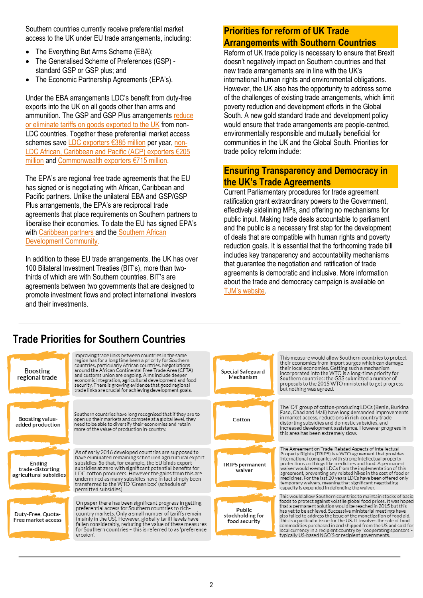Southern countries currently receive preferential market access to the UK under EU trade arrangements, including:

- The Everything But Arms Scheme (EBA):
- The Generalised Scheme of Preferences (GSP) standard GSP or GSP plus; and
- The Economic Partnership Agreements (EPA's).

Under the EBA arrangements LDC's benefit from duty-free exports into the UK on all goods other than arms and ammunition. The GSP and GSP Plus arrangements [reduce](https://www.gov.uk/government/news/government-pledges-to-help-improve-access-to-uk-markets-for-worlds-poorest-countries-post-brexit)  [or eliminate tariffs on goods](https://www.gov.uk/government/news/government-pledges-to-help-improve-access-to-uk-markets-for-worlds-poorest-countries-post-brexit) exported to the UK from non-LDC countries. Together these preferential market access schemes save [LDC exporters](https://www.odi.org/sites/odi.org.uk/files/resource-documents/10852.pdf) €385 million per year[, non-](https://www.odi.org/sites/odi.org.uk/files/resource-documents/10852.pdf)[LDC African, Caribbean and Pacific \(ACP\) exporters €205](https://www.odi.org/sites/odi.org.uk/files/resource-documents/10852.pdf)  [million](https://www.odi.org/sites/odi.org.uk/files/resource-documents/10852.pdf) and Commonwealth e[xporters €715 million](https://www.odi.org/sites/odi.org.uk/files/resource-documents/10852.pdf).

The EPA's are regional free trade agreements that the EU has signed or is negotiating with African, Caribbean and Pacific partners. Unlike the unilateral EBA and GSP/GSP Plus arrangements, the EPA's are reciprocal trade agreements that place requirements on Southern partners to liberalise their economies. To date the EU has signed EPA's wit[h Caribbean](http://ec.europa.eu/trade/policy/countries-and-regions/regions/caribbean/index_en.htm) partners and the Southern African [Development Community.](http://ec.europa.eu/trade/policy/countries-and-regions/regions/sadc/) 

In addition to these EU trade arrangements, the UK has over 100 Bilateral Investment Treaties (BIT's), more than twothirds of which are with Southern countries. BIT's are agreements between two governments that are designed to promote investment flows and protect international investors and their investments.

# **Priorities for reform of UK Trade Arrangements with Southern Countries**

Reform of UK trade policy is necessary to ensure that Brexit doesn't negatively impact on Southern countries and that new trade arrangements are in line with the UK's international human rights and environmental obligations. However, the UK also has the opportunity to address some of the challenges of existing trade arrangements, which limit poverty reduction and development efforts in the Global South. A new gold standard trade and development policy would ensure that trade arrangements are people-centred, environmentally responsible and mutually beneficial for communities in the UK and the Global South. Priorities for trade policy reform include:

# **Ensuring Transparency and Democracy in the UK's Trade Agreements**

Current Parliamentary procedures for trade agreement ratification grant extraordinary powers to the Government, effectively sidelining MPs, and offering no mechanisms for public input. Making trade deals accountable to parliament and the public is a necessary first step for the development of deals that are compatible with human rights and poverty reduction goals. It is essential that the forthcoming trade bill includes key transparency and accountability mechanisms that guarantee the negotiation and ratification of trade agreements is democratic and inclusive. More information about the trade and democracy campaign is available on [TJM's website](http://tjm.org.uk/trade-issues/democracy-and-transparency).

# **Trade Priorities for Southern Countries**

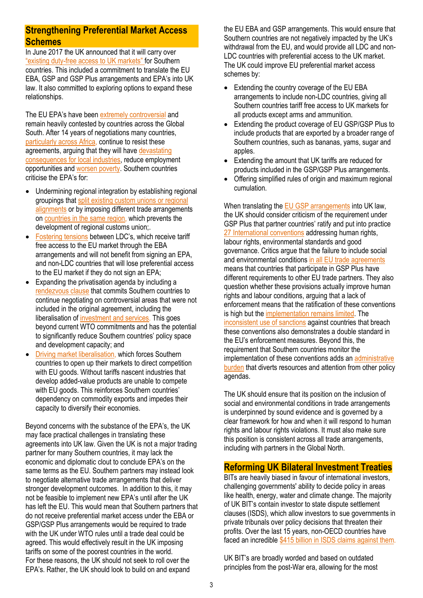# **Strengthening Preferential Market Access Schemes**

In June 2017 the UK announced that it will carry over "existing duty[-free access to UK markets](https://www.gov.uk/government/news/government-pledges-to-help-improve-access-to-uk-markets-for-worlds-poorest-countries-post-brexit)" for Southern countries. This included a commitment to translate the EU EBA, GSP and GSP Plus arrangements and EPA's into UK law. It also committed to exploring options to expand these relationships.

The EU EPA's have been [extremely controversial](https://www.theguardian.com/global-development/poverty-matters/2012/jul/12/trade-talks-europe-africa) and remain heavily contested by countries across the Global South. After 14 years of negotiations many countries, particularly [across Africa](https://furtherafrica.com/2016/11/10/why-african-states-are-refusing-to-sign-on-to-eu-trade-deals/), continue to resist these agreements, arguing that they will have devastating [consequences for local industries,](http://www.nation.co.ke/news/Tanzania-backs-out-of-EAC-deal-with-EU-over-Brexit/1056-3287032-2bh4taz/index.html) reduce employment opportunities an[d worsen poverty.](https://www.vanguardngr.com/2016/01/epa-8-94bn-development-package-tears-ecowas-apart/) Southern countries criticise the EPA's for:

- Undermining regional integration by establishing regional groupings that [split existing custom unions or regional](https://www.southcentre.int/wp-content/uploads/2013/08/AN_EPA4_Regional-Integration-and-EPAs_EN.pdf)  [alignments](https://www.southcentre.int/wp-content/uploads/2013/08/AN_EPA4_Regional-Integration-and-EPAs_EN.pdf) or by imposing different trade arrangements on countries [in the same region,](http://www.stopepa.de/img/EPAs_Briefing.pdf) which prevents the development of regional customs union;.
- [Fostering tensions](http://www.stopepa.de/img/EPAs_Briefing.pdf) between LDC's, which receive tariff free access to the EU market through the EBA arrangements and will not benefit from signing an EPA, and non-LDC countries that will lose preferential access to the EU market if they do not sign an EPA;
- Expanding the privatisation agenda by including a [rendezvous clause](http://www.rosalux.co.tz/wp-content/uploads/2016/03/SEATINIs-assessment-report-of-the-EPA-Rendezvous-clause-2015.pdf) that commits Southern countries to continue negotiating on controversial areas that were not included in the original agreement, including the liberalisation of [investment and services.](http://www.rosalux.co.tz/wp-content/uploads/2016/03/SEATINIs-assessment-report-of-the-EPA-Rendezvous-clause-2015.pdf) This goes beyond current WTO commitments and has the potential to significantly reduce Southern countries' policy space and development capacity; and
- [Driving market liberalisation,](http://www.stopepa.de/img/EPAs_Briefing.pdf) which forces Southern countries to open up their markets to direct competition with EU goods. Without tariffs nascent industries that develop added-value products are unable to compete with EU goods. This reinforces Southern countries' dependency on commodity exports and impedes their capacity to diversify their economies.

Beyond concerns with the substance of the EPA's, the UK may face practical challenges in translating these agreements into UK law. Given the UK is not a major trading partner for many Southern countries, it may lack the economic and diplomatic clout to conclude EPA's on the same terms as the EU. Southern partners may instead look to negotiate alternative trade arrangements that deliver stronger development outcomes. In addition to this, it may not be feasible to implement new EPA's until after the UK has left the EU. This would mean that Southern partners that do not receive preferential market access under the EBA or GSP/GSP Plus arrangements would be required to trade with the UK under WTO rules until a trade deal could be agreed. This would effectively result in the UK imposing tariffs on some of the poorest countries in the world. For these reasons, the UK should not seek to roll over the EPA's. Rather, the UK should look to build on and expand

the EU EBA and GSP arrangements. This would ensure that Southern countries are not negatively impacted by the UK's withdrawal from the EU, and would provide all LDC and non-LDC countries with preferential access to the UK market. The UK could improve EU preferential market access schemes by:

- Extending the country coverage of the EU EBA arrangements to include non-LDC countries, giving all Southern countries tariff free access to UK markets for all products except arms and ammunition.
- Extending the product coverage of EU GSP/GSP Plus to include products that are exported by a broader range of Southern countries, such as bananas, yams, sugar and apples.
- Extending the amount that UK tariffs are reduced for products included in the GSP/GSP Plus arrangements.
- Offering simplified rules of origin and maximum regional cumulation.

When translating th[e EU GSP arrangements](http://ec.europa.eu/trade/import-and-export-rules/import-into-eu/gsp-rules/gsp+/) into UK law, the UK should consider criticism of the requirement under GSP Plus that partner countries' ratify and put into practice [27 International conventions](http://trade.ec.europa.eu/doclib/docs/2013/december/tradoc_152024.pdf) addressing human rights, labour rights, environmental standards and good governance. Critics argue that the failure to include social and environmental conditions in all [EU trade agreements](https://ghum.kuleuven.be/ggs/publications/working_papers/new_series/wp151-160/wp155-beke-hachez.pdf) means that countries that participate in GSP Plus have different requirements to other EU trade partners. They also question whether these provisions actually improve human rights and labour conditions, arguing that a lack of enforcement means that the ratification of these conventions is high but the [implementation remains limited.](https://ghum.kuleuven.be/ggs/publications/working_papers/new_series/wp151-160/wp155-beke-hachez.pdf) Th[e](https://ghum.kuleuven.be/ggs/publications/working_papers/new_series/wp151-160/wp155-beke-hachez.pdf) [inconsistent use of sanctions](https://ghum.kuleuven.be/ggs/publications/working_papers/new_series/wp151-160/wp155-beke-hachez.pdf) against countries that breach these conventions also demonstrates a double standard in the EU's enforcement measures. Beyond this, the requirement that Southern countries monitor the implementation of these conventions adds an administrative **[burden](http://heinonline.org/HOL/LandingPage?handle=hein.journals/camslr7&div=8&id=&page=)** that diverts resources and attention from other policy agendas.

The UK should ensure that its position on the inclusion of social and environmental conditions in trade arrangements is underpinned by sound evidence and is governed by a clear framework for how and when it will respond to human rights and labour rights violations. It must also make sure this position is consistent across all trade arrangements, including with partners in the Global North.

# **Reforming UK Bilateral Investment Treaties**

BITs are heavily biased in favour of international investors, challenging governments' ability to decide policy in areas like health, energy, water and climate change. The majority of UK BIT's contain investor to state dispute settlement clauses (ISDS), which allow investors to sue governments in private tribunals over policy decisions that threaten their profits. Over the last 15 years, non-OECD countries have faced an incredibl[e \\$415 billion in ISDS claims against them.](http://investmentpolicyhub.unctad.org/ISDS/FilterByAmounts)

UK BIT's are broadly worded and based on outdated principles from the post-War era, allowing for the most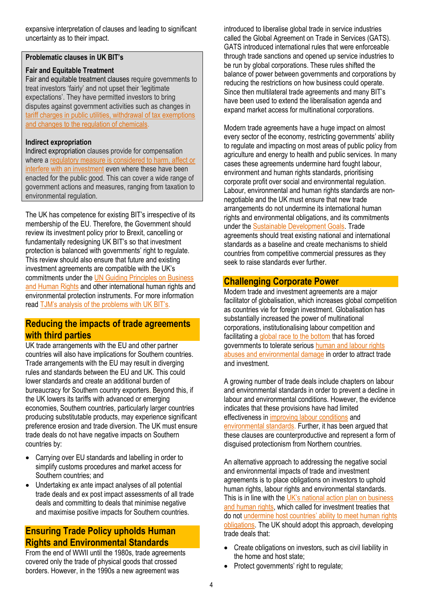expansive interpretation of clauses and leading to significant uncertainty as to their impact.

#### **Problematic clauses in UK BIT's**

#### **Fair and Equitable Treatment**

Fair and equitable treatment clauses require governments to treat investors 'fairly' and not upset their 'legitimate expectations'. They have permitted investors to bring disputes against government activities such as changes in [tariff charges in public utilities, withdrawal of tax exemptions](http://www.iisd.org/pdf/2011/belgiums_model_bit.pdf)  [and changes to the regulation of chemicals.](http://www.iisd.org/pdf/2011/belgiums_model_bit.pdf)

#### **Indirect expropriation**

Indirect expropriation clauses provide for compensation where [a regulatory measure is considered to harm, affect or](http://www.iisd.org/pdf/2011/belgiums_model_bit.pdf)  [interfere with an investment](http://www.iisd.org/pdf/2011/belgiums_model_bit.pdf) even where these have been enacted for the public good. This can cover a wide range of government actions and measures, ranging from taxation to environmental regulation.

The UK has competence for existing BIT's irrespective of its membership of the EU. Therefore, the Government should review its investment policy prior to Brexit, cancelling or fundamentally redesigning UK BIT's so that investment protection is balanced with governments' right to regulate. This review should also ensure that future and existing investment agreements are compatible with the UK's commitments under the [UN Guiding Principles on Business](http://www.ohchr.org/Documents/Publications/GuidingPrinciplesBusinessHR_EN.pdf)  [and Human Rights](http://www.ohchr.org/Documents/Publications/GuidingPrinciplesBusinessHR_EN.pdf) and other international human rights and environmental protection instruments. For more information read [TJM's analysis of the problems with UK BIT's](http://tjm.org.uk/trade-deals/bilateral-investment-treaties).

# **Reducing the impacts of trade agreements with third parties**

UK trade arrangements with the EU and other partner countries will also have implications for Southern countries. Trade arrangements with the EU may result in diverging rules and standards between the EU and UK. This could lower standards and create an additional burden of bureaucracy for Southern country exporters. Beyond this, if the UK lowers its tariffs with advanced or emerging economies, Southern countries, particularly larger countries producing substitutable products, may experience significant preference erosion and trade diversion. The UK must ensure trade deals do not have negative impacts on Southern countries by:

- Carrying over EU standards and labelling in order to simplify customs procedures and market access for Southern countries; and
- Undertaking ex ante impact analyses of all potential trade deals and ex post impact assessments of all trade deals and committing to deals that minimise negative and maximise positive impacts for Southern countries.

# **Ensuring Trade Policy upholds Human Rights and Environmental Standards**

From the end of WWII until the 1980s, trade agreements covered only the trade of physical goods that crossed borders. However, in the 1990s a new agreement was

introduced to liberalise global trade in service industries called the Global Agreement on Trade in Services (GATS). GATS introduced international rules that were enforceable through trade sanctions and opened up service industries to be run by global corporations. These rules shifted the balance of power between governments and corporations by reducing the restrictions on how business could operate. Since then multilateral trade agreements and many BIT's have been used to extend the liberalisation agenda and expand market access for multinational corporations.

Modern trade agreements have a huge impact on almost every sector of the economy, restricting governments' ability to regulate and impacting on most areas of public policy from agriculture and energy to health and public services. In many cases these agreements undermine hard fought labour, environment and human rights standards, prioritising corporate profit over social and environmental regulation. Labour, environmental and human rights standards are nonnegotiable and the UK must ensure that new trade arrangements do not undermine its international human rights and environmental obligations, and its commitments under the [Sustainable Development Goals.](https://sustainabledevelopment.un.org/?menu=1300) Trade agreements should treat existing national and international standards as a baseline and create mechanisms to shield countries from competitive commercial pressures as they seek to raise standards ever further.

# **Challenging Corporate Power**

Modern trade and investment agreements are a major facilitator of globalisation, which increases global competition as countries vie for foreign investment. Globalisation has substantially increased the power of multinational corporations, institutionalising labour competition and facilitating [a global race to the bottom](https://www.theguardian.com/commentisfree/2015/may/08/the-trans-pacific-partnership-will-lead-to-a-global-race-to-the-bottom) that has forced governments to tolerate serious human and labour rights abuses and [environmental damage](http://www.europarl.europa.eu/sides/getDoc.do?type=REPORT&reference=A7-2010-0317&language=EN) in order to attract trade and investment.

A growing number of trade deals include chapters on labour and environmental standards in order to prevent a decline in labour and environmental conditions. However, the evidence indicates that these provisions have had limited effectiveness in [improving labour conditions](https://www.tuc.org.uk/sites/default/files/tucfiles/eu_gsp_submission.pdf) and [environmental standards.](http://unep.ch/etb/publications/CSR%20publication/UNEP_Corporate%20Social%20Responsibility.pdf) Further, it has been argued that these clauses are counterproductive and represent a form of disguised protectionism from Northern countries.

An alternative approach to addressing the negative social and environmental impacts of trade and investment agreements is to place obligations on investors to uphold human rights, labour rights and environmental standards. This is in line with the [UK's national action p](https://www.gov.uk/government/publications/bhr-action-plan)lan on business [and human rights,](https://www.gov.uk/government/publications/bhr-action-plan) which called for investment treaties that do not [undermine host countries' ability to meet human rights](http://pubs.iied.org/pdfs/17376IIED.pdf)  [obligations.](http://pubs.iied.org/pdfs/17376IIED.pdf) The UK should adopt this approach, developing trade deals that:

- Create obligations on investors, such as civil liability in the home and host state;
- Protect governments' right to regulate;